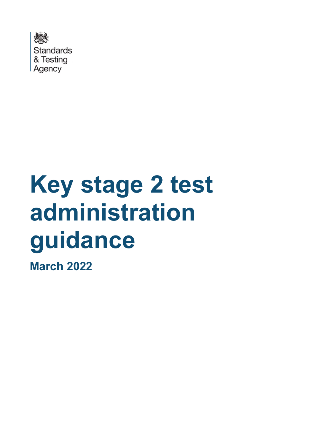

# **Key stage 2 test administration guidance**

**March 2022**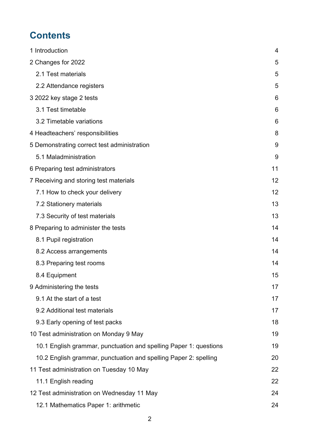# **Contents**

| 1 Introduction                                                    | 4  |
|-------------------------------------------------------------------|----|
| 2 Changes for 2022                                                | 5  |
| 2.1 Test materials                                                | 5  |
| 2.2 Attendance registers                                          | 5  |
| 3 2022 key stage 2 tests                                          | 6  |
| 3.1 Test timetable                                                | 6  |
| 3.2 Timetable variations                                          | 6  |
| 4 Headteachers' responsibilities                                  | 8  |
| 5 Demonstrating correct test administration                       | 9  |
| 5.1 Maladministration                                             | 9  |
| 6 Preparing test administrators                                   | 11 |
| 7 Receiving and storing test materials                            | 12 |
| 7.1 How to check your delivery                                    | 12 |
| 7.2 Stationery materials                                          | 13 |
| 7.3 Security of test materials                                    | 13 |
| 8 Preparing to administer the tests                               | 14 |
| 8.1 Pupil registration                                            | 14 |
| 8.2 Access arrangements                                           | 14 |
| 8.3 Preparing test rooms                                          | 14 |
| 8.4 Equipment                                                     | 15 |
| 9 Administering the tests                                         | 17 |
| 9.1 At the start of a test                                        | 17 |
| 9.2 Additional test materials                                     | 17 |
| 9.3 Early opening of test packs                                   | 18 |
| 10 Test administration on Monday 9 May                            | 19 |
| 10.1 English grammar, punctuation and spelling Paper 1: questions | 19 |
| 10.2 English grammar, punctuation and spelling Paper 2: spelling  | 20 |
| 11 Test administration on Tuesday 10 May                          | 22 |
| 11.1 English reading                                              | 22 |
| 12 Test administration on Wednesday 11 May                        | 24 |
| 12.1 Mathematics Paper 1: arithmetic                              | 24 |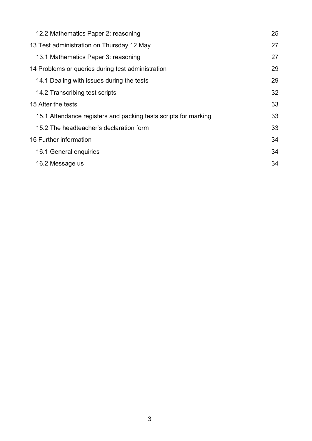| 12.2 Mathematics Paper 2: reasoning                             | 25 |
|-----------------------------------------------------------------|----|
| 13 Test administration on Thursday 12 May                       | 27 |
| 13.1 Mathematics Paper 3: reasoning                             | 27 |
| 14 Problems or queries during test administration               | 29 |
| 14.1 Dealing with issues during the tests                       | 29 |
| 14.2 Transcribing test scripts                                  | 32 |
| 15 After the tests                                              | 33 |
| 15.1 Attendance registers and packing tests scripts for marking | 33 |
| 15.2 The headteacher's declaration form                         | 33 |
| 16 Further information                                          | 34 |
| 16.1 General enquiries                                          | 34 |
| 16.2 Message us                                                 | 34 |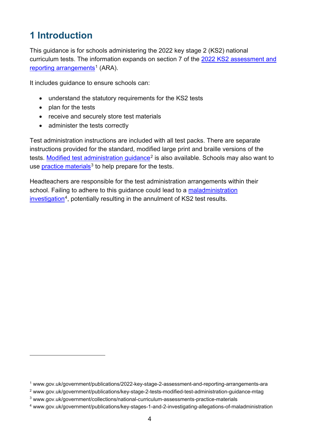# <span id="page-3-0"></span>**1 Introduction**

This guidance is for schools administering the 2022 key stage 2 (KS2) national curriculum tests. The information expands on section 7 of the [2022 KS2 assessment and](https://www.gov.uk/government/publications/2022-key-stage-2-assessment-and-reporting-arrangements-ara)  [reporting arrangements](https://www.gov.uk/government/publications/2022-key-stage-2-assessment-and-reporting-arrangements-ara)<sup>[1](#page-3-1)</sup> (ARA).

It includes guidance to ensure schools can:

- understand the statutory requirements for the KS2 tests
- plan for the tests
- receive and securely store test materials
- administer the tests correctly

Test administration instructions are included with all test packs. There are separate instructions provided for the standard, modified large print and braille versions of the tests. Modified [test administration guidance](https://www.gov.uk/government/publications/key-stage-2-tests-modified-test-administration-guidance-mtag)<sup>[2](#page-3-2)</sup> is also available. Schools may also want to use [practice materials](http://www.gov.uk/government/collections/national-curriculum-assessments-practice-materials) $3$  to help prepare for the tests.

Headteachers are responsible for the test administration arrangements within their school. Failing to adhere to this guidance could lead to a maladministration [investigation](http://www.gov.uk/government/publications/key-stages-1-and-2-investigating-allegations-of-maladministration)<sup>[4](#page-3-4)</sup>, potentially resulting in the annulment of KS2 test results.

<span id="page-3-1"></span><sup>1</sup> www.gov.uk/government/publications/2022-key-stage-2-assessment-and-reporting-arrangements-ara

<span id="page-3-2"></span><sup>2</sup> www.gov.uk/government/publications/key-stage-2-tests-modified-test-administration-guidance-mtag

<span id="page-3-3"></span><sup>3</sup> www.gov.uk/government/collections/national-curriculum-assessments-practice-materials

<span id="page-3-4"></span><sup>4</sup> www.gov.uk/government/publications/key-stages-1-and-2-investigating-allegations-of-maladministration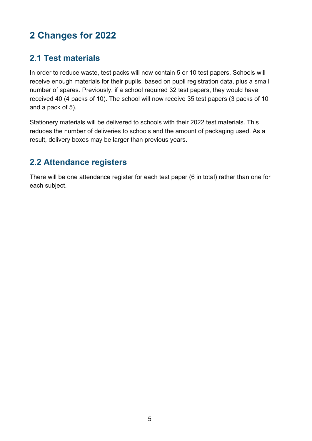# <span id="page-4-0"></span>**2 Changes for 2022**

# <span id="page-4-1"></span>**2.1 Test materials**

In order to reduce waste, test packs will now contain 5 or 10 test papers. Schools will receive enough materials for their pupils, based on pupil registration data, plus a small number of spares. Previously, if a school required 32 test papers, they would have received 40 (4 packs of 10). The school will now receive 35 test papers (3 packs of 10 and a pack of 5).

Stationery materials will be delivered to schools with their 2022 test materials. This reduces the number of deliveries to schools and the amount of packaging used. As a result, delivery boxes may be larger than previous years.

## <span id="page-4-2"></span>**2.2 Attendance registers**

There will be one attendance register for each test paper (6 in total) rather than one for each subject.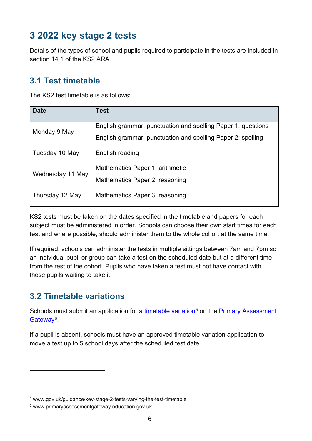# <span id="page-5-0"></span>**3 2022 key stage 2 tests**

Details of the types of school and pupils required to participate in the tests are included in section 14.1 of the KS2 ARA

# <span id="page-5-1"></span>**3.1 Test timetable**

The KS2 test timetable is as follows:

| <b>Date</b>      | <b>Test</b>                                                  |
|------------------|--------------------------------------------------------------|
| Monday 9 May     | English grammar, punctuation and spelling Paper 1: questions |
|                  | English grammar, punctuation and spelling Paper 2: spelling  |
| Tuesday 10 May   | English reading                                              |
| Wednesday 11 May | Mathematics Paper 1: arithmetic                              |
|                  | Mathematics Paper 2: reasoning                               |
| Thursday 12 May  | Mathematics Paper 3: reasoning                               |

KS2 tests must be taken on the dates specified in the timetable and papers for each subject must be administered in order. Schools can choose their own start times for each test and where possible, should administer them to the whole cohort at the same time.

If required, schools can administer the tests in multiple sittings between 7am and 7pm so an individual pupil or group can take a test on the scheduled date but at a different time from the rest of the cohort. Pupils who have taken a test must not have contact with those pupils waiting to take it.

# <span id="page-5-2"></span>**3.2 Timetable variations**

Schools must submit an application for a [timetable variation](https://www.gov.uk/guidance/key-stage-2-tests-varying-the-test-timetable)<sup>5</sup> on the **Primary Assessment** [Gateway](http://www.primaryassessmentgateway.education.gov.uk/)<sup>[6](#page-5-4)</sup>.

If a pupil is absent, schools must have an approved timetable variation application to move a test up to 5 school days after the scheduled test date.

<span id="page-5-3"></span><sup>5</sup> www.gov.uk/guidance/key-stage-2-tests-varying-the-test-timetable

<span id="page-5-4"></span><sup>6</sup> www.primaryassessmentgateway.education.gov.uk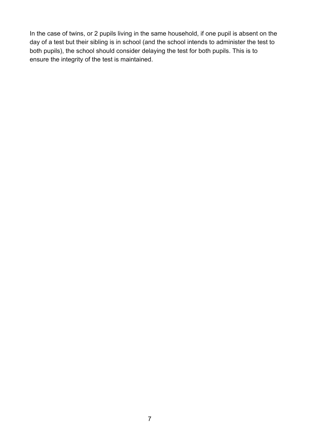In the case of twins, or 2 pupils living in the same household, if one pupil is absent on the day of a test but their sibling is in school (and the school intends to administer the test to both pupils), the school should consider delaying the test for both pupils. This is to ensure the integrity of the test is maintained.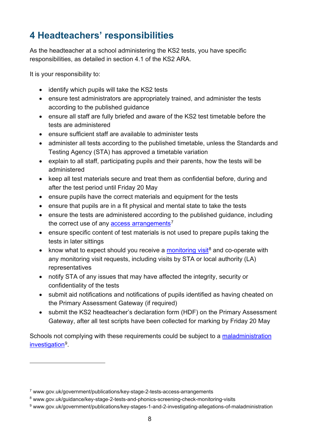# <span id="page-7-0"></span>**4 Headteachers' responsibilities**

As the headteacher at a school administering the KS2 tests, you have specific responsibilities, as detailed in section 4.1 of the KS2 ARA.

It is your responsibility to:

- identify which pupils will take the KS2 tests
- ensure test administrators are appropriately trained, and administer the tests according to the published guidance
- ensure all staff are fully briefed and aware of the KS2 test timetable before the tests are administered
- ensure sufficient staff are available to administer tests
- administer all tests according to the published timetable, unless the Standards and Testing Agency (STA) has approved a timetable variation
- explain to all staff, participating pupils and their parents, how the tests will be administered
- keep all test materials secure and treat them as confidential before, during and after the test period until Friday 20 May
- ensure pupils have the correct materials and equipment for the tests
- ensure that pupils are in a fit physical and mental state to take the tests
- ensure the tests are administered according to the published guidance, including the correct use of any [access arrangements](http://www.gov.uk/government/publications/key-stage-2-tests-access-arrangements)<sup>[7](#page-7-1)</sup>
- ensure specific content of test materials is not used to prepare pupils taking the tests in later sittings
- know what to expect should you receive a [monitoring visit](https://www.gov.uk/guidance/key-stage-2-tests-and-phonics-screening-check-monitoring-visits)<sup>[8](#page-7-2)</sup> and co-operate with any monitoring visit requests, including visits by STA or local authority (LA) representatives
- notify STA of any issues that may have affected the integrity, security or confidentiality of the tests
- submit aid notifications and notifications of pupils identified as having cheated on the Primary Assessment Gateway (if required)
- submit the KS2 headteacher's declaration form (HDF) on the Primary Assessment Gateway, after all test scripts have been collected for marking by Friday 20 May

Schools not complying with these requirements could be subject to a [maladministration](https://www.gov.uk/government/publications/key-stages-1-and-2-investigating-allegations-of-maladministration)  [investigation](https://www.gov.uk/government/publications/key-stages-1-and-2-investigating-allegations-of-maladministration)[9](#page-7-3).

<span id="page-7-1"></span><sup>7</sup> www.gov.uk/government/publications/key-stage-2-tests-access-arrangements

<span id="page-7-2"></span><sup>8</sup> www.gov.uk/guidance/key-stage-2-tests-and-phonics-screening-check-monitoring-visits

<span id="page-7-3"></span><sup>9</sup> www.gov.uk/government/publications/key-stages-1-and-2-investigating-allegations-of-maladministration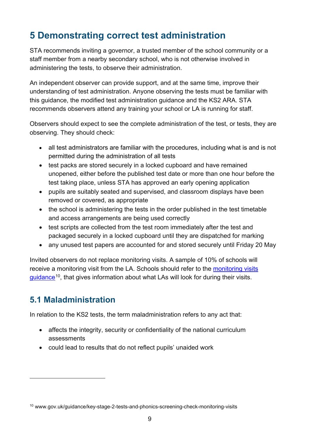# <span id="page-8-0"></span>**5 Demonstrating correct test administration**

STA recommends inviting a governor, a trusted member of the school community or a staff member from a nearby secondary school, who is not otherwise involved in administering the tests, to observe their administration.

An independent observer can provide support, and at the same time, improve their understanding of test administration. Anyone observing the tests must be familiar with this guidance, the modified test administration guidance and the KS2 ARA. STA recommends observers attend any training your school or LA is running for staff.

Observers should expect to see the complete administration of the test, or tests, they are observing. They should check:

- all test administrators are familiar with the procedures, including what is and is not permitted during the administration of all tests
- test packs are stored securely in a locked cupboard and have remained unopened, either before the published test date or more than one hour before the test taking place, unless STA has approved an early opening application
- pupils are suitably seated and supervised, and classroom displays have been removed or covered, as appropriate
- the school is administering the tests in the order published in the test timetable and access arrangements are being used correctly
- test scripts are collected from the test room immediately after the test and packaged securely in a locked cupboard until they are dispatched for marking
- any unused test papers are accounted for and stored securely until Friday 20 May

Invited observers do not replace monitoring visits. A sample of 10% of schools will receive a monitoring visit from the LA. Schools should refer to the [monitoring visits](http://www.gov.uk/guidance/key-stage-2-tests-and-phonics-screening-check-monitoring-visits)  [guidance](http://www.gov.uk/guidance/key-stage-2-tests-and-phonics-screening-check-monitoring-visits)<sup>10</sup>, that gives information about what LAs will look for during their visits.

# <span id="page-8-1"></span>**5.1 Maladministration**

In relation to the KS2 tests, the term maladministration refers to any act that:

- affects the integrity, security or confidentiality of the national curriculum assessments
- could lead to results that do not reflect pupils' unaided work

<span id="page-8-2"></span><sup>10</sup> www.gov.uk/guidance/key-stage-2-tests-and-phonics-screening-check-monitoring-visits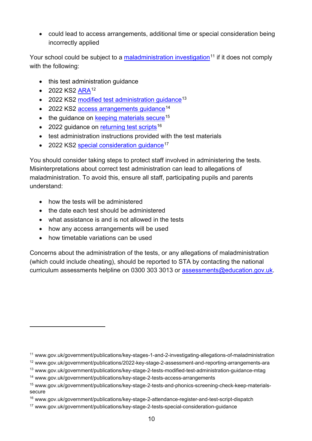• could lead to access arrangements, additional time or special consideration being incorrectly applied

Your school could be subject to a [maladministration investigation](http://www.gov.uk/government/publications/key-stages-1-and-2-investigating-allegations-of-maladministration)<sup>[11](#page-9-0)</sup> if it does not comply with the following:

- this test administration guidance
- 2022 KS2  $ARA^{12}$  $ARA^{12}$  $ARA^{12}$
- 2022 KS2 [modified test administration guidance](https://www.gov.uk/government/publications/key-stage-2-tests-modified-test-administration-guidance-mtag)<sup>[13](#page-9-2)</sup>
- 2022 KS2 access arrangements quidance<sup>[14](#page-9-3)</sup>
- $\bullet$  the guidance on  $keeping$  materials secure<sup>[15](#page-9-4)</sup>
- 2022 quidance on [returning test scripts](https://www.gov.uk/government/publications/key-stage-2-attendance-register-and-test-script-dispatch)<sup>[16](#page-9-5)</sup>
- test administration instructions provided with the test materials
- 2022 KS2 special consideration quidance<sup>[17](#page-9-6)</sup>

You should consider taking steps to protect staff involved in administering the tests. Misinterpretations about correct test administration can lead to allegations of maladministration. To avoid this, ensure all staff, participating pupils and parents understand:

- how the tests will be administered
- the date each test should be administered
- what assistance is and is not allowed in the tests
- how any access arrangements will be used
- how timetable variations can be used

Concerns about the administration of the tests, or any allegations of maladministration (which could include cheating), should be reported to STA by contacting the national curriculum assessments helpline on 0300 303 3013 or [assessments@education.gov.uk.](mailto:assessments@education.gov.uk)

<span id="page-9-0"></span><sup>11</sup> www.gov.uk/government/publications/key-stages-1-and-2-investigating-allegations-of-maladministration

<span id="page-9-1"></span><sup>12</sup> www.gov.uk/government/publications/2022-key-stage-2-assessment-and-reporting-arrangements-ara

<span id="page-9-2"></span><sup>13</sup> www.gov.uk/government/publications/key-stage-2-tests-modified-test-administration-guidance-mtag

<span id="page-9-3"></span><sup>14</sup> www.gov.uk/government/publications/key-stage-2-tests-access-arrangements

<span id="page-9-4"></span><sup>15</sup> www.gov.uk/government/publications/key-stage-2-tests-and-phonics-screening-check-keep-materialssecure

<span id="page-9-5"></span><sup>16</sup> www.gov.uk/government/publications/key-stage-2-attendance-register-and-test-script-dispatch

<span id="page-9-6"></span><sup>17</sup> www.gov.uk/government/publications/key-stage-2-tests-special-consideration-guidance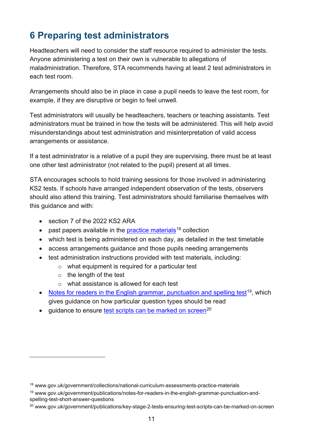# <span id="page-10-0"></span>**6 Preparing test administrators**

Headteachers will need to consider the staff resource required to administer the tests. Anyone administering a test on their own is vulnerable to allegations of maladministration. Therefore, STA recommends having at least 2 test administrators in each test room.

Arrangements should also be in place in case a pupil needs to leave the test room, for example, if they are disruptive or begin to feel unwell.

Test administrators will usually be headteachers, teachers or teaching assistants. Test administrators must be trained in how the tests will be administered. This will help avoid misunderstandings about test administration and misinterpretation of valid access arrangements or assistance.

If a test administrator is a relative of a pupil they are supervising, there must be at least one other test administrator (not related to the pupil) present at all times.

STA encourages schools to hold training sessions for those involved in administering KS2 tests. If schools have arranged independent observation of the tests, observers should also attend this training. Test administrators should familiarise themselves with this guidance and with:

- section 7 of the 2022 KS2 ARA
- past papers available in the practice [materials](https://www.gov.uk/government/collections/national-curriculum-assessments-practice-materials)<sup>[18](#page-10-1)</sup> collection
- which test is being administered on each day, as detailed in the test timetable
- access arrangements guidance and those pupils needing arrangements
- test administration instructions provided with test materials, including:
	- o what equipment is required for a particular test
	- $\circ$  the length of the test
	- o what assistance is allowed for each test
- [Notes for readers in the English grammar, punctuation and spelling test](https://www.gov.uk/government/publications/notes-for-readers-in-the-english-grammar-punctuation-and-spelling-test-short-answer-questions)<sup>[19](#page-10-2)</sup>, which gives guidance on how particular question types should be read
- guidance to ensure [test scripts can be marked on screen](https://www.gov.uk/government/publications/key-stage-2-tests-ensuring-test-scripts-can-be-marked-on-screen)<sup>[20](#page-10-3)</sup>

<span id="page-10-1"></span><sup>&</sup>lt;sup>18</sup> www.gov.uk/government/collections/national-curriculum-assessments-practice-materials

<span id="page-10-2"></span><sup>19</sup> www.gov.uk/government/publications/notes-for-readers-in-the-english-grammar-punctuation-andspelling-test-short-answer-questions

<span id="page-10-3"></span><sup>&</sup>lt;sup>20</sup> www.gov.uk/government/publications/key-stage-2-tests-ensuring-test-scripts-can-be-marked-on-screen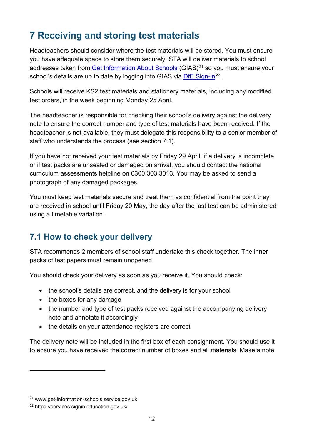# <span id="page-11-0"></span>**7 Receiving and storing test materials**

Headteachers should consider where the test materials will be stored. You must ensure you have adequate space to store them securely. STA will deliver materials to school addresses taken from Get [Information About Schools](https://get-information-schools.service.gov.uk/) (GIAS)<sup>[21](#page-11-2)</sup> so you must ensure your school's details are up to date by logging into GIAS via  $\frac{DFE \text{ Sign-in}^{22}}{2}$ .

Schools will receive KS2 test materials and stationery materials, including any modified test orders, in the week beginning Monday 25 April.

The headteacher is responsible for checking their school's delivery against the delivery note to ensure the correct number and type of test materials have been received. If the headteacher is not available, they must delegate this responsibility to a senior member of staff who understands the process (see section 7.1).

If you have not received your test materials by Friday 29 April, if a delivery is incomplete or if test packs are unsealed or damaged on arrival, you should contact the national curriculum assessments helpline on 0300 303 3013. You may be asked to send a photograph of any damaged packages.

You must keep test materials secure and treat them as confidential from the point they are received in school until Friday 20 May, the day after the last test can be administered using a timetable variation.

# <span id="page-11-1"></span>**7.1 How to check your delivery**

STA recommends 2 members of school staff undertake this check together. The inner packs of test papers must remain unopened.

You should check your delivery as soon as you receive it. You should check:

- the school's details are correct, and the delivery is for your school
- the boxes for any damage
- the number and type of test packs received against the accompanying delivery note and annotate it accordingly
- the details on your attendance registers are correct

The delivery note will be included in the first box of each consignment. You should use it to ensure you have received the correct number of boxes and all materials. Make a note

<span id="page-11-2"></span><sup>21</sup> www.get-information-schools.service.gov.uk

<span id="page-11-3"></span><sup>22</sup> https://services.signin.education.gov.uk/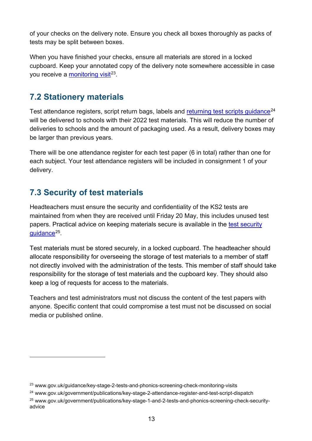of your checks on the delivery note. Ensure you check all boxes thoroughly as packs of tests may be split between boxes.

When you have finished your checks, ensure all materials are stored in a locked cupboard. Keep your annotated copy of the delivery note somewhere accessible in case you receive a [monitoring visit](http://www.gov.uk/guidance/key-stage-2-tests-and-phonics-screening-check-monitoring-visits) $^{23}$ .

# <span id="page-12-0"></span>**7.2 Stationery materials**

Test attendance registers, script return bags, labels and [returning test scripts guidance](https://www.gov.uk/government/publications/key-stage-2-attendance-register-and-test-script-dispatch)<sup>[24](#page-12-3)</sup> will be delivered to schools with their 2022 test materials. This will reduce the number of deliveries to schools and the amount of packaging used. As a result, delivery boxes may be larger than previous years.

There will be one attendance register for each test paper (6 in total) rather than one for each subject. Your test attendance registers will be included in consignment 1 of your delivery.

# <span id="page-12-1"></span>**7.3 Security of test materials**

Headteachers must ensure the security and confidentiality of the KS2 tests are maintained from when they are received until Friday 20 May, this includes unused test papers. Practical advice on keeping materials secure is available in the [test security](https://www.gov.uk/government/publications/key-stage-2-tests-and-phonics-screening-check-keep-materials-secure)  [guidance](https://www.gov.uk/government/publications/key-stage-2-tests-and-phonics-screening-check-keep-materials-secure)[25.](#page-12-4)

Test materials must be stored securely, in a locked cupboard. The headteacher should allocate responsibility for overseeing the storage of test materials to a member of staff not directly involved with the administration of the tests. This member of staff should take responsibility for the storage of test materials and the cupboard key. They should also keep a log of requests for access to the materials.

Teachers and test administrators must not discuss the content of the test papers with anyone. Specific content that could compromise a test must not be discussed on social media or published online.

<span id="page-12-2"></span><sup>&</sup>lt;sup>23</sup> www.gov.uk/guidance/key-stage-2-tests-and-phonics-screening-check-monitoring-visits

<span id="page-12-3"></span><sup>24</sup> www.gov.uk/government/publications/key-stage-2-attendance-register-and-test-script-dispatch

<span id="page-12-4"></span><sup>25</sup> www.gov.uk/government/publications/key-stage-1-and-2-tests-and-phonics-screening-check-securityadvice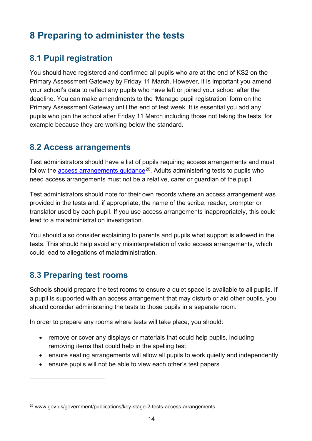# <span id="page-13-0"></span>**8 Preparing to administer the tests**

# <span id="page-13-1"></span>**8.1 Pupil registration**

You should have registered and confirmed all pupils who are at the end of KS2 on the Primary Assessment Gateway by Friday 11 March. However, it is important you amend your school's data to reflect any pupils who have left or joined your school after the deadline. You can make amendments to the 'Manage pupil registration' form on the Primary Assessment Gateway until the end of test week. It is essential you add any pupils who join the school after Friday 11 March including those not taking the tests, for example because they are working below the standard.

## <span id="page-13-2"></span>**8.2 Access arrangements**

Test administrators should have a list of pupils requiring access arrangements and must follow the  $\frac{access}{}$  arrangements guidance<sup>26</sup>. Adults administering tests to pupils who need access arrangements must not be a relative, carer or guardian of the pupil.

Test administrators should note for their own records where an access arrangement was provided in the tests and, if appropriate, the name of the scribe, reader, prompter or translator used by each pupil. If you use access arrangements inappropriately, this could lead to a maladministration investigation.

You should also consider explaining to parents and pupils what support is allowed in the tests. This should help avoid any misinterpretation of valid access arrangements, which could lead to allegations of maladministration.

# <span id="page-13-3"></span>**8.3 Preparing test rooms**

Schools should prepare the test rooms to ensure a quiet space is available to all pupils. If a pupil is supported with an access arrangement that may disturb or aid other pupils, you should consider administering the tests to those pupils in a separate room.

In order to prepare any rooms where tests will take place, you should:

- remove or cover any displays or materials that could help pupils, including removing items that could help in the spelling test
- ensure seating arrangements will allow all pupils to work quietly and independently
- ensure pupils will not be able to view each other's test papers

<span id="page-13-4"></span><sup>26</sup> www.gov.uk/government/publications/key-stage-2-tests-access-arrangements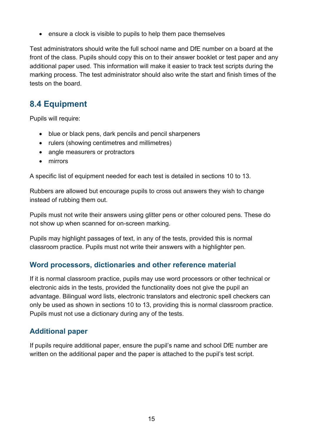• ensure a clock is visible to pupils to help them pace themselves

Test administrators should write the full school name and DfE number on a board at the front of the class. Pupils should copy this on to their answer booklet or test paper and any additional paper used. This information will make it easier to track test scripts during the marking process. The test administrator should also write the start and finish times of the tests on the board.

# <span id="page-14-0"></span>**8.4 Equipment**

Pupils will require:

- blue or black pens, dark pencils and pencil sharpeners
- rulers (showing centimetres and millimetres)
- angle measurers or protractors
- mirrors

A specific list of equipment needed for each test is detailed in sections 10 to 13.

Rubbers are allowed but encourage pupils to cross out answers they wish to change instead of rubbing them out.

Pupils must not write their answers using glitter pens or other coloured pens. These do not show up when scanned for on-screen marking.

Pupils may highlight passages of text, in any of the tests, provided this is normal classroom practice. Pupils must not write their answers with a highlighter pen.

#### **Word processors, dictionaries and other reference material**

If it is normal classroom practice, pupils may use word processors or other technical or electronic aids in the tests, provided the functionality does not give the pupil an advantage. Bilingual word lists, electronic translators and electronic spell checkers can only be used as shown in sections 10 to 13, providing this is normal classroom practice. Pupils must not use a dictionary during any of the tests.

#### **Additional paper**

If pupils require additional paper, ensure the pupil's name and school DfE number are written on the additional paper and the paper is attached to the pupil's test script.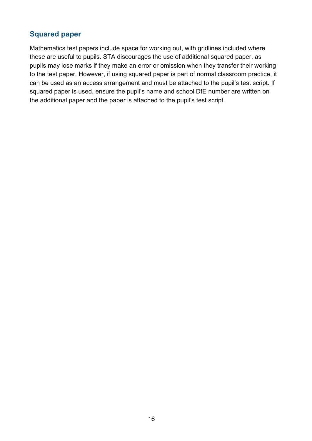#### **Squared paper**

Mathematics test papers include space for working out, with gridlines included where these are useful to pupils. STA discourages the use of additional squared paper, as pupils may lose marks if they make an error or omission when they transfer their working to the test paper. However, if using squared paper is part of normal classroom practice, it can be used as an access arrangement and must be attached to the pupil's test script. If squared paper is used, ensure the pupil's name and school DfE number are written on the additional paper and the paper is attached to the pupil's test script.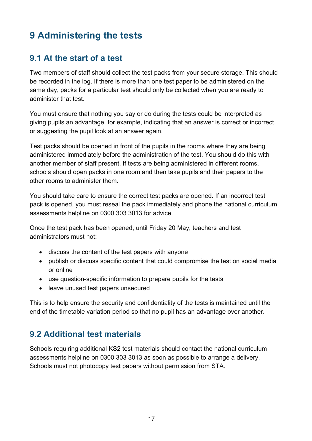# <span id="page-16-0"></span>**9 Administering the tests**

## <span id="page-16-1"></span>**9.1 At the start of a test**

Two members of staff should collect the test packs from your secure storage. This should be recorded in the log. If there is more than one test paper to be administered on the same day, packs for a particular test should only be collected when you are ready to administer that test.

You must ensure that nothing you say or do during the tests could be interpreted as giving pupils an advantage, for example, indicating that an answer is correct or incorrect, or suggesting the pupil look at an answer again.

Test packs should be opened in front of the pupils in the rooms where they are being administered immediately before the administration of the test. You should do this with another member of staff present. If tests are being administered in different rooms, schools should open packs in one room and then take pupils and their papers to the other rooms to administer them.

You should take care to ensure the correct test packs are opened. If an incorrect test pack is opened, you must reseal the pack immediately and phone the national curriculum assessments helpline on 0300 303 3013 for advice.

Once the test pack has been opened, until Friday 20 May, teachers and test administrators must not:

- discuss the content of the test papers with anyone
- publish or discuss specific content that could compromise the test on social media or online
- use question-specific information to prepare pupils for the tests
- leave unused test papers unsecured

This is to help ensure the security and confidentiality of the tests is maintained until the end of the timetable variation period so that no pupil has an advantage over another.

## <span id="page-16-2"></span>**9.2 Additional test materials**

Schools requiring additional KS2 test materials should contact the national curriculum assessments helpline on 0300 303 3013 as soon as possible to arrange a delivery. Schools must not photocopy test papers without permission from STA.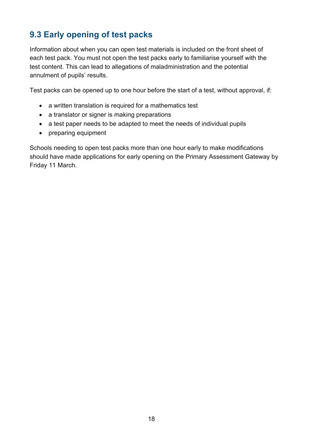# <span id="page-17-0"></span>**9.3 Early opening of test packs**

Information about when you can open test materials is included on the front sheet of each test pack. You must not open the test packs early to familiarise yourself with the test content. This can lead to allegations of maladministration and the potential annulment of pupils' results.

Test packs can be opened up to one hour before the start of a test, without approval, if:

- a written translation is required for a mathematics test
- a translator or signer is making preparations
- a test paper needs to be adapted to meet the needs of individual pupils
- preparing equipment

Schools needing to open test packs more than one hour early to make modifications should have made applications for early opening on the Primary Assessment Gateway by Friday 11 March.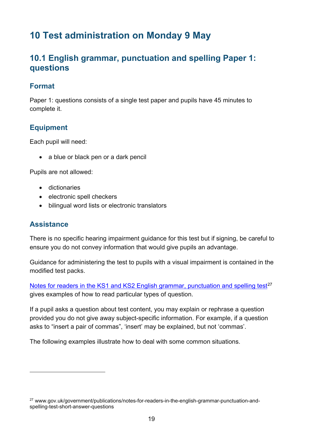# <span id="page-18-0"></span>**10 Test administration on Monday 9 May**

## <span id="page-18-1"></span>**10.1 English grammar, punctuation and spelling Paper 1: questions**

#### **Format**

Paper 1: questions consists of a single test paper and pupils have 45 minutes to complete it.

#### **Equipment**

Each pupil will need:

• a blue or black pen or a dark pencil

Pupils are not allowed:

- dictionaries
- electronic spell checkers
- bilingual word lists or electronic translators

#### **Assistance**

There is no specific hearing impairment guidance for this test but if signing, be careful to ensure you do not convey information that would give pupils an advantage.

Guidance for administering the test to pupils with a visual impairment is contained in the modified test packs.

[Notes for readers in the KS1 and KS2 English grammar, punctuation and spelling test](https://www.gov.uk/government/publications/notes-for-readers-in-the-english-grammar-punctuation-and-spelling-test-short-answer-questions)<sup>[27](#page-18-2)</sup> gives examples of how to read particular types of question.

If a pupil asks a question about test content, you may explain or rephrase a question provided you do not give away subject-specific information. For example, if a question asks to "insert a pair of commas", 'insert' may be explained, but not 'commas'.

The following examples illustrate how to deal with some common situations.

<span id="page-18-2"></span><sup>27</sup> www.gov.uk/government/publications/notes-for-readers-in-the-english-grammar-punctuation-andspelling-test-short-answer-questions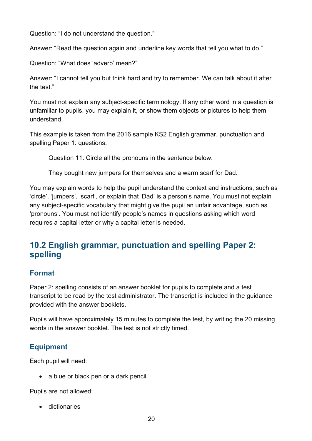Question: "I do not understand the question."

Answer: "Read the question again and underline key words that tell you what to do."

Question: "What does 'adverb' mean?"

Answer: "I cannot tell you but think hard and try to remember. We can talk about it after the test."

You must not explain any subject-specific terminology. If any other word in a question is unfamiliar to pupils, you may explain it, or show them objects or pictures to help them understand.

This example is taken from the 2016 sample KS2 English grammar, punctuation and spelling Paper 1: questions:

Question 11: Circle all the pronouns in the sentence below.

They bought new jumpers for themselves and a warm scarf for Dad.

You may explain words to help the pupil understand the context and instructions, such as 'circle', 'jumpers', 'scarf', or explain that 'Dad' is a person's name. You must not explain any subject-specific vocabulary that might give the pupil an unfair advantage, such as 'pronouns'. You must not identify people's names in questions asking which word requires a capital letter or why a capital letter is needed.

## <span id="page-19-0"></span>**10.2 English grammar, punctuation and spelling Paper 2: spelling**

#### **Format**

Paper 2: spelling consists of an answer booklet for pupils to complete and a test transcript to be read by the test administrator. The transcript is included in the guidance provided with the answer booklets.

Pupils will have approximately 15 minutes to complete the test, by writing the 20 missing words in the answer booklet. The test is not strictly timed.

#### **Equipment**

Each pupil will need:

• a blue or black pen or a dark pencil

Pupils are not allowed:

• dictionaries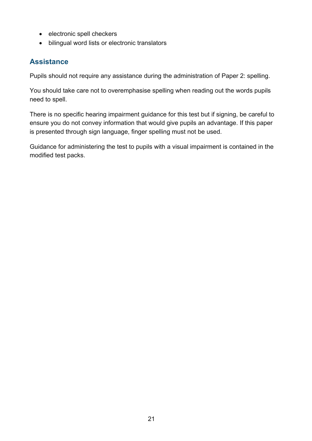- electronic spell checkers
- bilingual word lists or electronic translators

#### **Assistance**

Pupils should not require any assistance during the administration of Paper 2: spelling.

You should take care not to overemphasise spelling when reading out the words pupils need to spell.

There is no specific hearing impairment guidance for this test but if signing, be careful to ensure you do not convey information that would give pupils an advantage. If this paper is presented through sign language, finger spelling must not be used.

Guidance for administering the test to pupils with a visual impairment is contained in the modified test packs.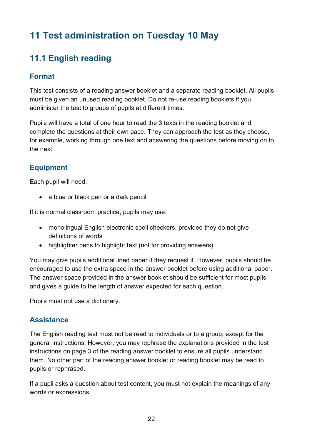# <span id="page-21-0"></span>**11 Test administration on Tuesday 10 May**

# <span id="page-21-1"></span>**11.1 English reading**

#### **Format**

This test consists of a reading answer booklet and a separate reading booklet. All pupils must be given an unused reading booklet. Do not re-use reading booklets if you administer the test to groups of pupils at different times.

Pupils will have a total of one hour to read the 3 texts in the reading booklet and complete the questions at their own pace. They can approach the test as they choose, for example, working through one text and answering the questions before moving on to the next.

## **Equipment**

Each pupil will need:

• a blue or black pen or a dark pencil

If it is normal classroom practice, pupils may use:

- monolingual English electronic spell checkers, provided they do not give definitions of words
- highlighter pens to highlight text (not for providing answers)

You may give pupils additional lined paper if they request it. However, pupils should be encouraged to use the extra space in the answer booklet before using additional paper. The answer space provided in the answer booklet should be sufficient for most pupils and gives a guide to the length of answer expected for each question.

Pupils must not use a dictionary.

#### **Assistance**

The English reading test must not be read to individuals or to a group, except for the general instructions. However, you may rephrase the explanations provided in the test instructions on page 3 of the reading answer booklet to ensure all pupils understand them. No other part of the reading answer booklet or reading booklet may be read to pupils or rephrased.

If a pupil asks a question about test content, you must not explain the meanings of any words or expressions.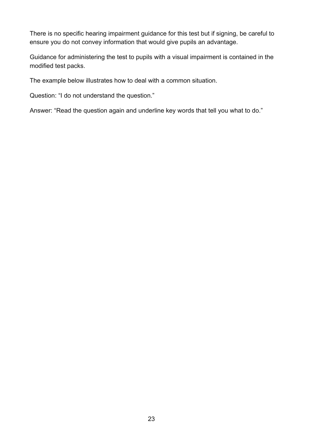There is no specific hearing impairment guidance for this test but if signing, be careful to ensure you do not convey information that would give pupils an advantage.

Guidance for administering the test to pupils with a visual impairment is contained in the modified test packs.

The example below illustrates how to deal with a common situation.

Question: "I do not understand the question."

Answer: "Read the question again and underline key words that tell you what to do."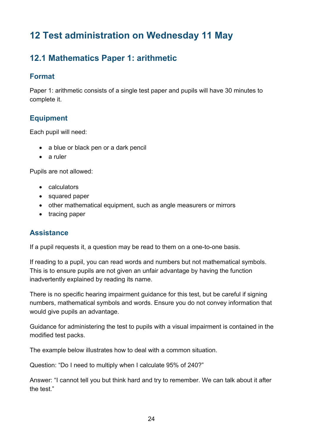# <span id="page-23-0"></span>**12 Test administration on Wednesday 11 May**

# <span id="page-23-1"></span>**12.1 Mathematics Paper 1: arithmetic**

#### **Format**

Paper 1: arithmetic consists of a single test paper and pupils will have 30 minutes to complete it.

#### **Equipment**

Each pupil will need:

- a blue or black pen or a dark pencil
- a ruler

Pupils are not allowed:

- calculators
- squared paper
- other mathematical equipment, such as angle measurers or mirrors
- tracing paper

#### **Assistance**

If a pupil requests it, a question may be read to them on a one-to-one basis.

If reading to a pupil, you can read words and numbers but not mathematical symbols. This is to ensure pupils are not given an unfair advantage by having the function inadvertently explained by reading its name.

There is no specific hearing impairment guidance for this test, but be careful if signing numbers, mathematical symbols and words. Ensure you do not convey information that would give pupils an advantage.

Guidance for administering the test to pupils with a visual impairment is contained in the modified test packs.

The example below illustrates how to deal with a common situation.

Question: "Do I need to multiply when I calculate 95% of 240?"

Answer: "I cannot tell you but think hard and try to remember. We can talk about it after the test."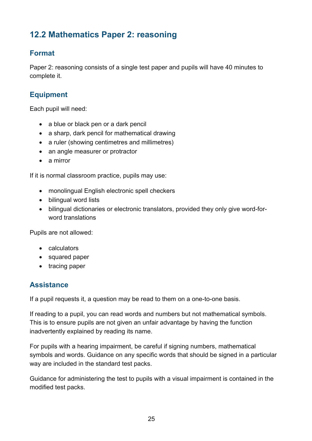# <span id="page-24-0"></span>**12.2 Mathematics Paper 2: reasoning**

#### **Format**

Paper 2: reasoning consists of a single test paper and pupils will have 40 minutes to complete it.

### **Equipment**

Each pupil will need:

- a blue or black pen or a dark pencil
- a sharp, dark pencil for mathematical drawing
- a ruler (showing centimetres and millimetres)
- an angle measurer or protractor
- a mirror

If it is normal classroom practice, pupils may use:

- monolingual English electronic spell checkers
- bilingual word lists
- bilingual dictionaries or electronic translators, provided they only give word-forword translations

Pupils are not allowed:

- calculators
- squared paper
- tracing paper

## **Assistance**

If a pupil requests it, a question may be read to them on a one-to-one basis.

If reading to a pupil, you can read words and numbers but not mathematical symbols. This is to ensure pupils are not given an unfair advantage by having the function inadvertently explained by reading its name.

For pupils with a hearing impairment, be careful if signing numbers, mathematical symbols and words. Guidance on any specific words that should be signed in a particular way are included in the standard test packs.

Guidance for administering the test to pupils with a visual impairment is contained in the modified test packs.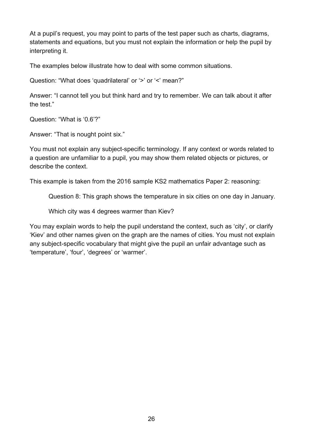At a pupil's request, you may point to parts of the test paper such as charts, diagrams, statements and equations, but you must not explain the information or help the pupil by interpreting it.

The examples below illustrate how to deal with some common situations.

Question: "What does 'quadrilateral' or '>' or '<' mean?"

Answer: "I cannot tell you but think hard and try to remember. We can talk about it after the test."

Question: "What is '0.6'?"

Answer: "That is nought point six."

You must not explain any subject-specific terminology. If any context or words related to a question are unfamiliar to a pupil, you may show them related objects or pictures, or describe the context.

This example is taken from the 2016 sample KS2 mathematics Paper 2: reasoning:

Question 8: This graph shows the temperature in six cities on one day in January.

Which city was 4 degrees warmer than Kiev?

You may explain words to help the pupil understand the context, such as 'city', or clarify 'Kiev' and other names given on the graph are the names of cities. You must not explain any subject-specific vocabulary that might give the pupil an unfair advantage such as 'temperature', 'four', 'degrees' or 'warmer'.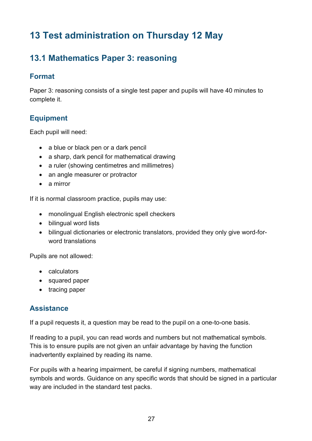# <span id="page-26-0"></span>**13 Test administration on Thursday 12 May**

# <span id="page-26-1"></span>**13.1 Mathematics Paper 3: reasoning**

#### **Format**

Paper 3: reasoning consists of a single test paper and pupils will have 40 minutes to complete it.

#### **Equipment**

Each pupil will need:

- a blue or black pen or a dark pencil
- a sharp, dark pencil for mathematical drawing
- a ruler (showing centimetres and millimetres)
- an angle measurer or protractor
- a mirror

If it is normal classroom practice, pupils may use:

- monolingual English electronic spell checkers
- bilingual word lists
- bilingual dictionaries or electronic translators, provided they only give word-forword translations

Pupils are not allowed:

- calculators
- squared paper
- tracing paper

#### **Assistance**

If a pupil requests it, a question may be read to the pupil on a one-to-one basis.

If reading to a pupil, you can read words and numbers but not mathematical symbols. This is to ensure pupils are not given an unfair advantage by having the function inadvertently explained by reading its name.

For pupils with a hearing impairment, be careful if signing numbers, mathematical symbols and words. Guidance on any specific words that should be signed in a particular way are included in the standard test packs.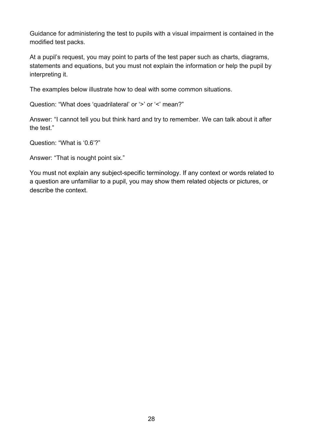Guidance for administering the test to pupils with a visual impairment is contained in the modified test packs.

At a pupil's request, you may point to parts of the test paper such as charts, diagrams, statements and equations, but you must not explain the information or help the pupil by interpreting it.

The examples below illustrate how to deal with some common situations.

Question: "What does 'quadrilateral' or '>' or '<' mean?"

Answer: "I cannot tell you but think hard and try to remember. We can talk about it after the test."

Question: "What is '0.6'?"

Answer: "That is nought point six."

You must not explain any subject-specific terminology. If any context or words related to a question are unfamiliar to a pupil, you may show them related objects or pictures, or describe the context.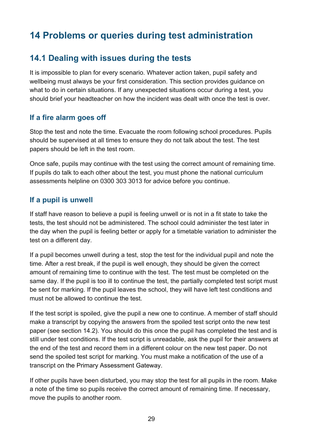# <span id="page-28-0"></span>**14 Problems or queries during test administration**

## <span id="page-28-1"></span>**14.1 Dealing with issues during the tests**

It is impossible to plan for every scenario. Whatever action taken, pupil safety and wellbeing must always be your first consideration. This section provides guidance on what to do in certain situations. If any unexpected situations occur during a test, you should brief your headteacher on how the incident was dealt with once the test is over.

#### **If a fire alarm goes off**

Stop the test and note the time. Evacuate the room following school procedures. Pupils should be supervised at all times to ensure they do not talk about the test. The test papers should be left in the test room.

Once safe, pupils may continue with the test using the correct amount of remaining time. If pupils do talk to each other about the test, you must phone the national curriculum assessments helpline on 0300 303 3013 for advice before you continue.

#### **If a pupil is unwell**

If staff have reason to believe a pupil is feeling unwell or is not in a fit state to take the tests, the test should not be administered. The school could administer the test later in the day when the pupil is feeling better or apply for a timetable variation to administer the test on a different day.

If a pupil becomes unwell during a test, stop the test for the individual pupil and note the time. After a rest break, if the pupil is well enough, they should be given the correct amount of remaining time to continue with the test. The test must be completed on the same day. If the pupil is too ill to continue the test, the partially completed test script must be sent for marking. If the pupil leaves the school, they will have left test conditions and must not be allowed to continue the test.

If the test script is spoiled, give the pupil a new one to continue. A member of staff should make a transcript by copying the answers from the spoiled test script onto the new test paper (see section 14.2). You should do this once the pupil has completed the test and is still under test conditions. If the test script is unreadable, ask the pupil for their answers at the end of the test and record them in a different colour on the new test paper. Do not send the spoiled test script for marking. You must make a notification of the use of a transcript on the Primary Assessment Gateway.

If other pupils have been disturbed, you may stop the test for all pupils in the room. Make a note of the time so pupils receive the correct amount of remaining time. If necessary, move the pupils to another room.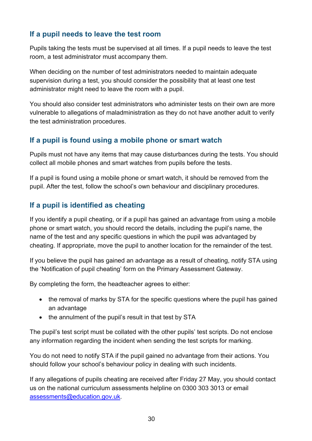#### **If a pupil needs to leave the test room**

Pupils taking the tests must be supervised at all times. If a pupil needs to leave the test room, a test administrator must accompany them.

When deciding on the number of test administrators needed to maintain adequate supervision during a test, you should consider the possibility that at least one test administrator might need to leave the room with a pupil.

You should also consider test administrators who administer tests on their own are more vulnerable to allegations of maladministration as they do not have another adult to verify the test administration procedures.

#### **If a pupil is found using a mobile phone or smart watch**

Pupils must not have any items that may cause disturbances during the tests. You should collect all mobile phones and smart watches from pupils before the tests.

If a pupil is found using a mobile phone or smart watch, it should be removed from the pupil. After the test, follow the school's own behaviour and disciplinary procedures.

#### **If a pupil is identified as cheating**

If you identify a pupil cheating, or if a pupil has gained an advantage from using a mobile phone or smart watch, you should record the details, including the pupil's name, the name of the test and any specific questions in which the pupil was advantaged by cheating. If appropriate, move the pupil to another location for the remainder of the test.

If you believe the pupil has gained an advantage as a result of cheating, notify STA using the 'Notification of pupil cheating' form on the Primary Assessment Gateway.

By completing the form, the headteacher agrees to either:

- the removal of marks by STA for the specific questions where the pupil has gained an advantage
- the annulment of the pupil's result in that test by STA

The pupil's test script must be collated with the other pupils' test scripts. Do not enclose any information regarding the incident when sending the test scripts for marking.

You do not need to notify STA if the pupil gained no advantage from their actions. You should follow your school's behaviour policy in dealing with such incidents.

If any allegations of pupils cheating are received after Friday 27 May, you should contact us on the national curriculum assessments helpline on 0300 303 3013 or email [assessments@education.gov.uk.](mailto:assessments@education.gov.uk)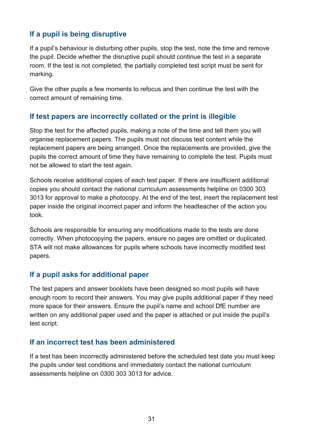#### **If a pupil is being disruptive**

If a pupil's behaviour is disturbing other pupils, stop the test, note the time and remove the pupil. Decide whether the disruptive pupil should continue the test in a separate room. If the test is not completed, the partially completed test script must be sent for marking.

Give the other pupils a few moments to refocus and then continue the test with the correct amount of remaining time.

#### **If test papers are incorrectly collated or the print is illegible**

Stop the test for the affected pupils, making a note of the time and tell them you will organise replacement papers. The pupils must not discuss test content while the replacement papers are being arranged. Once the replacements are provided, give the pupils the correct amount of time they have remaining to complete the test. Pupils must not be allowed to start the test again.

Schools receive additional copies of each test paper. If there are insufficient additional copies you should contact the national curriculum assessments helpline on 0300 303 3013 for approval to make a photocopy. At the end of the test, insert the replacement test paper inside the original incorrect paper and inform the headteacher of the action you took.

Schools are responsible for ensuring any modifications made to the tests are done correctly. When photocopying the papers, ensure no pages are omitted or duplicated. STA will not make allowances for pupils where schools have incorrectly modified test papers.

#### **If a pupil asks for additional paper**

The test papers and answer booklets have been designed so most pupils will have enough room to record their answers. You may give pupils additional paper if they need more space for their answers. Ensure the pupil's name and school DfE number are written on any additional paper used and the paper is attached or put inside the pupil's test script.

#### **If an incorrect test has been administered**

If a test has been incorrectly administered before the scheduled test date you must keep the pupils under test conditions and immediately contact the national curriculum assessments helpline on 0300 303 3013 for advice.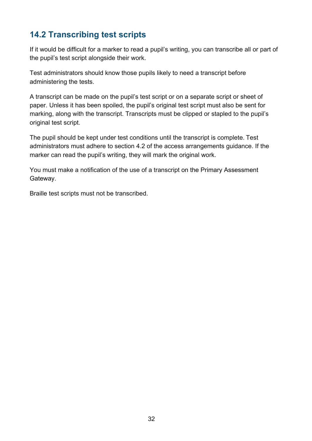# <span id="page-31-0"></span>**14.2 Transcribing test scripts**

If it would be difficult for a marker to read a pupil's writing, you can transcribe all or part of the pupil's test script alongside their work.

Test administrators should know those pupils likely to need a transcript before administering the tests.

A transcript can be made on the pupil's test script or on a separate script or sheet of paper. Unless it has been spoiled, the pupil's original test script must also be sent for marking, along with the transcript. Transcripts must be clipped or stapled to the pupil's original test script.

The pupil should be kept under test conditions until the transcript is complete. Test administrators must adhere to section 4.2 of the access arrangements guidance. If the marker can read the pupil's writing, they will mark the original work.

You must make a notification of the use of a transcript on the Primary Assessment Gateway.

Braille test scripts must not be transcribed.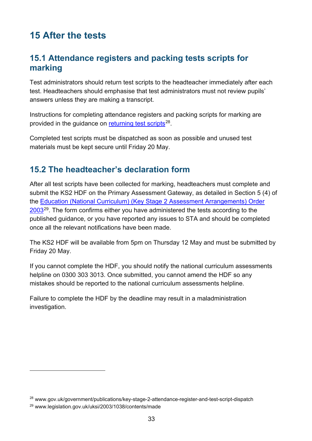# <span id="page-32-0"></span>**15 After the tests**

## <span id="page-32-1"></span>**15.1 Attendance registers and packing tests scripts for marking**

Test administrators should return test scripts to the headteacher immediately after each test. Headteachers should emphasise that test administrators must not review pupils' answers unless they are making a transcript.

Instructions for completing attendance registers and packing scripts for marking are provided in the guidance on [returning test scripts](https://www.gov.uk/government/publications/key-stage-2-attendance-register-and-test-script-dispatch)<sup>28</sup>.

Completed test scripts must be dispatched as soon as possible and unused test materials must be kept secure until Friday 20 May.

## <span id="page-32-2"></span>**15.2 The headteacher's declaration form**

After all test scripts have been collected for marking, headteachers must complete and submit the KS2 HDF on the Primary Assessment Gateway, as detailed in Section 5 (4) of the Education [\(National Curriculum\) \(Key Stage 2 Assessment Arrangements\) Order](http://www.legislation.gov.uk/uksi/2003/1038/contents/made)  [2003](http://www.legislation.gov.uk/uksi/2003/1038/contents/made)<sup>29</sup>. The form confirms either you have administered the tests according to the published guidance, or you have reported any issues to STA and should be completed once all the relevant notifications have been made.

The KS2 HDF will be available from 5pm on Thursday 12 May and must be submitted by Friday 20 May.

If you cannot complete the HDF, you should notify the national curriculum assessments helpline on 0300 303 3013. Once submitted, you cannot amend the HDF so any mistakes should be reported to the national curriculum assessments helpline.

Failure to complete the HDF by the deadline may result in a maladministration investigation.

<span id="page-32-3"></span><sup>28</sup> www.gov.uk/government/publications/key-stage-2-attendance-register-and-test-script-dispatch

<span id="page-32-4"></span><sup>29</sup> www.legislation.gov.uk/uksi/2003/1038/contents/made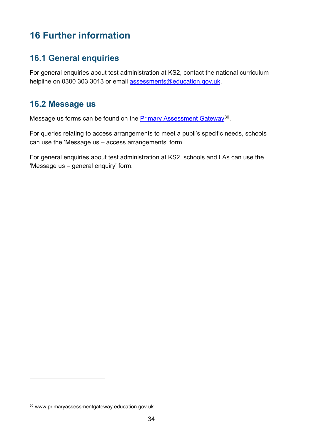# <span id="page-33-0"></span>**16 Further information**

## <span id="page-33-1"></span>**16.1 General enquiries**

For general enquiries about test administration at KS2, contact the national curriculum helpline on 0300 303 3013 or email [assessments@education.gov.uk.](mailto:assessments@education.gov.uk)

## <span id="page-33-2"></span>**16.2 Message us**

Message us forms can be found on the **Primary Assessment Gateway**<sup>30</sup>.

For queries relating to access arrangements to meet a pupil's specific needs, schools can use the 'Message us – access arrangements' form.

For general enquiries about test administration at KS2, schools and LAs can use the 'Message us – general enquiry' form.

<span id="page-33-3"></span><sup>30</sup> www.primaryassessmentgateway.education.gov.uk